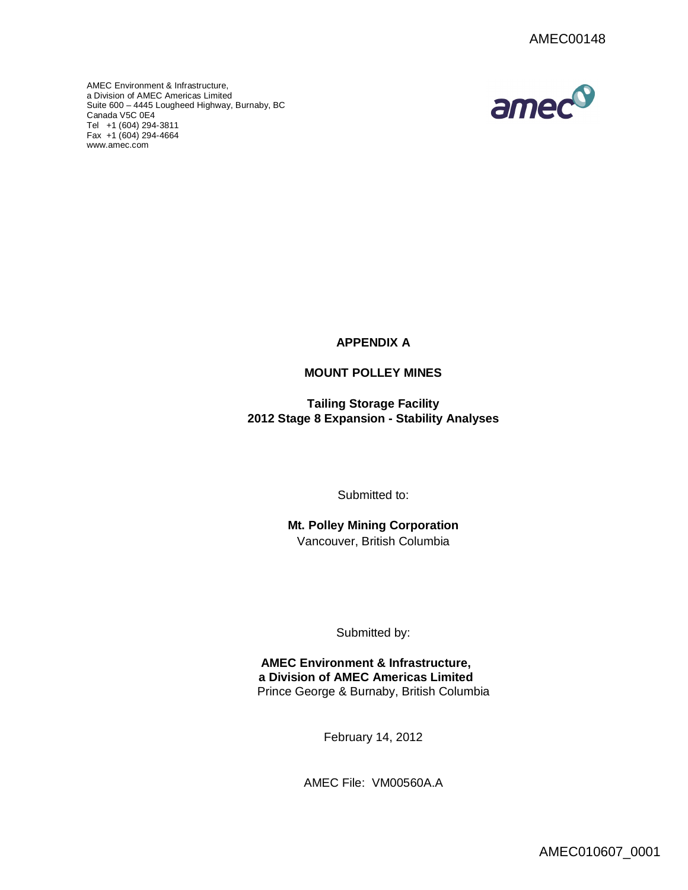amec®

AMEC Environment & Infrastructure, a Division of AMEC Americas Limited Suite [600 –](http://www.amec.com) 4445 Lougheed Highway, Burnaby, BC Canada V5C 0E4 Tel +1 (604) 294-3811 Fax +1 (604) 294-4664 www.amec.com



# **MOUNT POLLEY MINES**

**Tailing Storage Facility 2012 Stage 8 Expansion - Stability Analyses**

Submitted to:

**Mt. Polley Mining Corporation** Vancouver, British Columbia

Submitted by:

**AMEC Environment & Infrastructure, a Division of AMEC Americas Limited** Prince George & Burnaby, British Columbia

February 14, 2012

AMEC File: VM00560A.A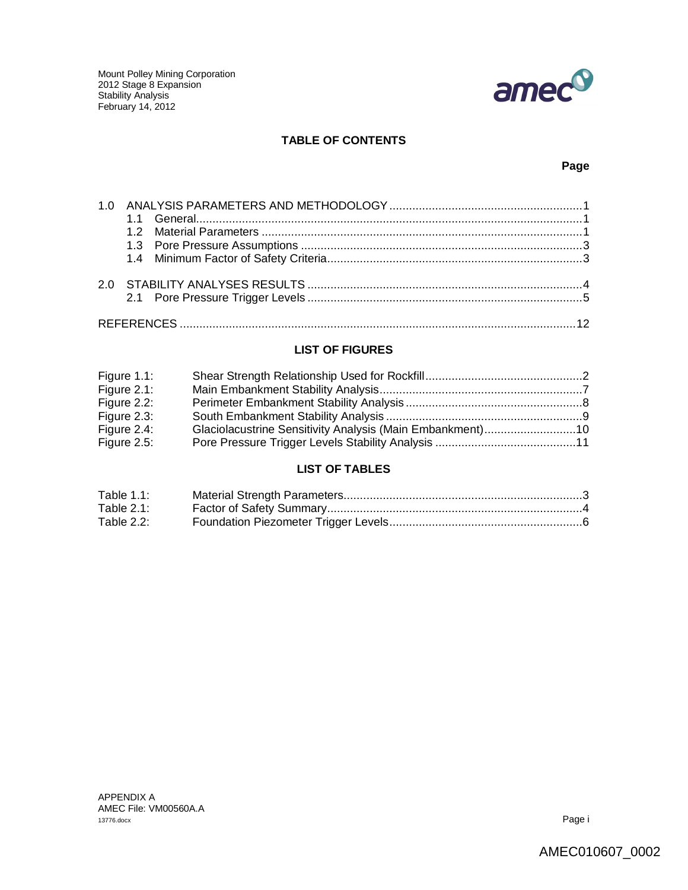

# **TABLE OF CONTENTS**

# **Page**

# **LIST OF FIGURES**

| Figure $1.1$ : |  |
|----------------|--|
| Figure 2.1:    |  |
| Figure 2.2:    |  |
| Figure 2.3:    |  |
| Figure 2.4:    |  |
| Figure 2.5:    |  |

# **LIST OF TABLES**

| Table 1.1:    |  |
|---------------|--|
| Table $2.1$ : |  |
| Table 2.2:    |  |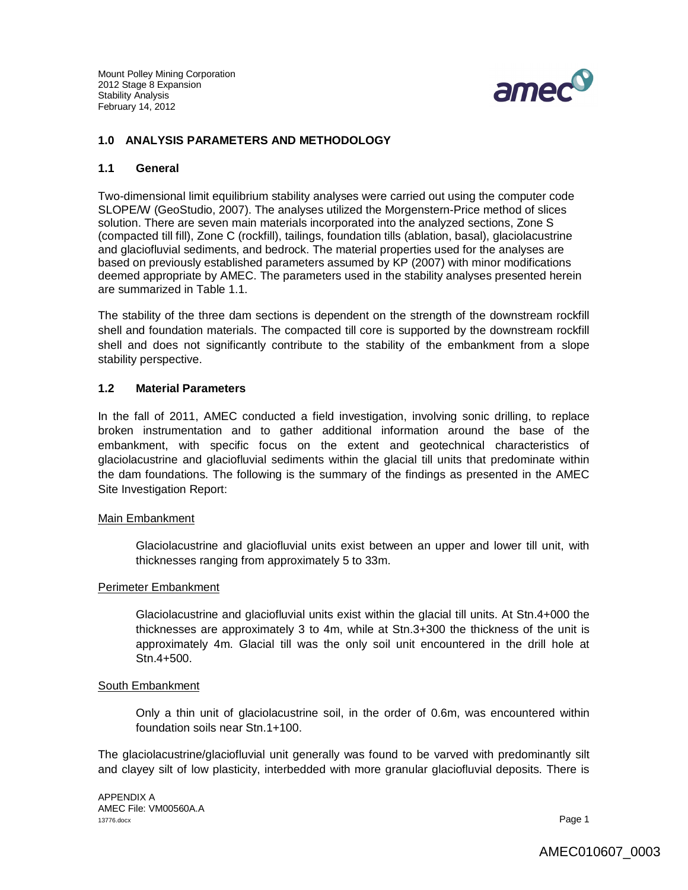

### **1.0 ANALYSIS PARAMETERS AND METHODOLOGY**

### **1.1 General**

Two-dimensional limit equilibrium stability analyses were carried out using the computer code SLOPE/W (GeoStudio, 2007). The analyses utilized the Morgenstern-Price method of slices solution. There are seven main materials incorporated into the analyzed sections, Zone S (compacted till fill), Zone C (rockfill), tailings, foundation tills (ablation, basal), glaciolacustrine and glaciofluvial sediments, and bedrock. The material properties used for the analyses are based on previously established parameters assumed by KP (2007) with minor modifications deemed appropriate by AMEC. The parameters used in the stability analyses presented herein are summarized in Table 1.1.

The stability of the three dam sections is dependent on the strength of the downstream rockfill shell and foundation materials. The compacted till core is supported by the downstream rockfill shell and does not significantly contribute to the stability of the embankment from a slope stability perspective.

### **1.2 Material Parameters**

In the fall of 2011, AMEC conducted a field investigation, involving sonic drilling, to replace broken instrumentation and to gather additional information around the base of the embankment, with specific focus on the extent and geotechnical characteristics of glaciolacustrine and glaciofluvial sediments within the glacial till units that predominate within the dam foundations. The following is the summary of the findings as presented in the AMEC Site Investigation Report:

#### Main Embankment

Glaciolacustrine and glaciofluvial units exist between an upper and lower till unit, with thicknesses ranging from approximately 5 to 33m.

#### Perimeter Embankment

Glaciolacustrine and glaciofluvial units exist within the glacial till units. At Stn.4+000 the thicknesses are approximately 3 to 4m, while at Stn.3+300 the thickness of the unit is approximately 4m. Glacial till was the only soil unit encountered in the drill hole at Stn.4+500.

#### South Embankment

Only a thin unit of glaciolacustrine soil, in the order of 0.6m, was encountered within foundation soils near Stn.1+100.

The glaciolacustrine/glaciofluvial unit generally was found to be varved with predominantly silt and clayey silt of low plasticity, interbedded with more granular glaciofluvial deposits. There is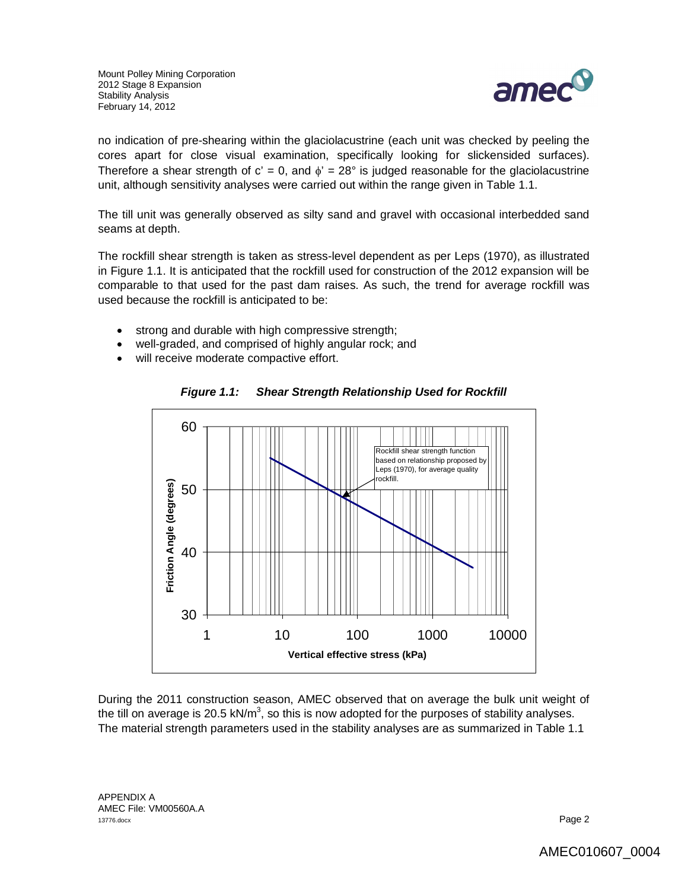

no indication of pre-shearing within the glaciolacustrine (each unit was checked by peeling the cores apart for close visual examination, specifically looking for slickensided surfaces). Therefore a shear strength of  $c' = 0$ , and  $\phi' = 28^\circ$  is judged reasonable for the glaciolacustrine unit, although sensitivity analyses were carried out within the range given in Table 1.1.

The till unit was generally observed as silty sand and gravel with occasional interbedded sand seams at depth.

The rockfill shear strength is taken as stress-level dependent as per Leps (1970), as illustrated in Figure 1.1. It is anticipated that the rockfill used for construction of the 2012 expansion will be comparable to that used for the past dam raises. As such, the trend for average rockfill was used because the rockfill is anticipated to be:

- strong and durable with high compressive strength;
- well-graded, and comprised of highly angular rock; and
- will receive moderate compactive effort.



*Figure 1.1: Shear Strength Relationship Used for Rockfill*

During the 2011 construction season, AMEC observed that on average the bulk unit weight of the till on average is 20.5 kN/m<sup>3</sup>, so this is now adopted for the purposes of stability analyses. The material strength parameters used in the stability analyses are as summarized in Table 1.1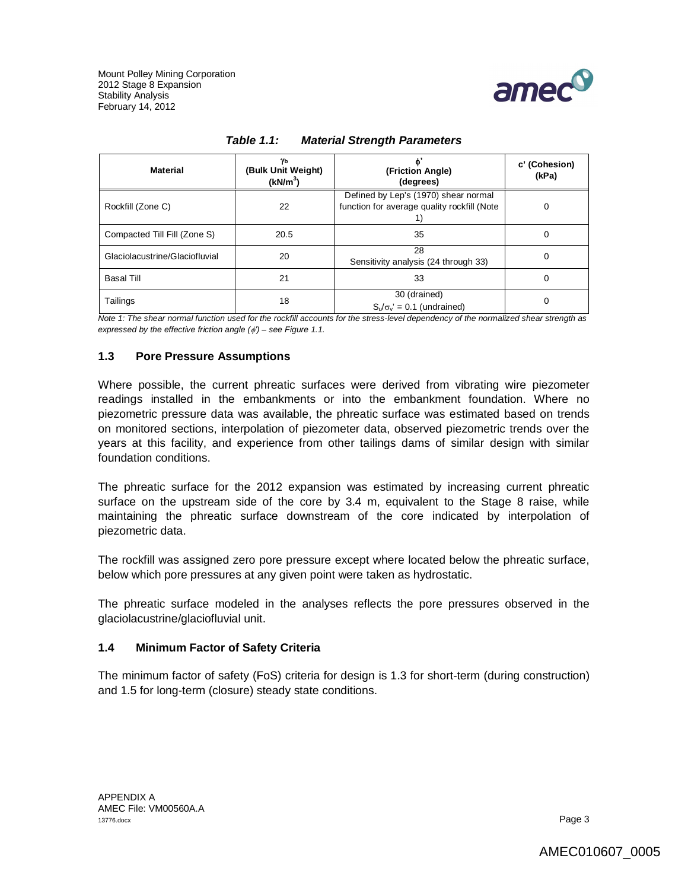

| Material                       | Yь<br>(Bulk Unit Weight)<br>(kN/m <sup>3</sup> ) | ď,<br>(Friction Angle)<br>(degrees)                                                 | c' (Cohesion)<br>(kPa) |
|--------------------------------|--------------------------------------------------|-------------------------------------------------------------------------------------|------------------------|
| Rockfill (Zone C)              | 22                                               | Defined by Lep's (1970) shear normal<br>function for average quality rockfill (Note |                        |
| Compacted Till Fill (Zone S)   | 20.5                                             | 35                                                                                  | 0                      |
| Glaciolacustrine/Glaciofluvial | 20                                               | 28<br>Sensitivity analysis (24 through 33)                                          | 0                      |
| Basal Till                     | 21                                               | 33                                                                                  | 0                      |
| Tailings                       | 18                                               | 30 (drained)<br>$S_v/\sigma_v' = 0.1$ (undrained)                                   |                        |

| <b>Table 1.1:</b> | <b>Material Strength Parameters</b> |
|-------------------|-------------------------------------|
|-------------------|-------------------------------------|

*Note 1: The shear normal function used for the rockfill accounts for the stress-level dependency of the normalized shear strength as expressed by the effective friction angle (') – see Figure 1.1.* 

### **1.3 Pore Pressure Assumptions**

Where possible, the current phreatic surfaces were derived from vibrating wire piezometer readings installed in the embankments or into the embankment foundation. Where no piezometric pressure data was available, the phreatic surface was estimated based on trends on monitored sections, interpolation of piezometer data, observed piezometric trends over the years at this facility, and experience from other tailings dams of similar design with similar foundation conditions.

The phreatic surface for the 2012 expansion was estimated by increasing current phreatic surface on the upstream side of the core by 3.4 m, equivalent to the Stage 8 raise, while maintaining the phreatic surface downstream of the core indicated by interpolation of piezometric data.

The rockfill was assigned zero pore pressure except where located below the phreatic surface, below which pore pressures at any given point were taken as hydrostatic.

The phreatic surface modeled in the analyses reflects the pore pressures observed in the glaciolacustrine/glaciofluvial unit.

### **1.4 Minimum Factor of Safety Criteria**

The minimum factor of safety (FoS) criteria for design is 1.3 for short-term (during construction) and 1.5 for long-term (closure) steady state conditions.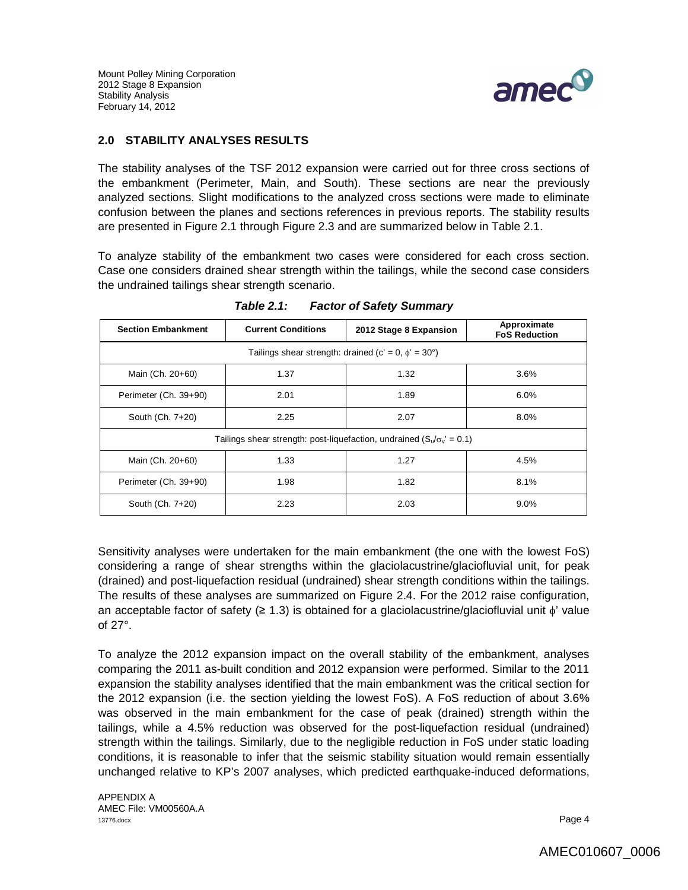

## **2.0 STABILITY ANALYSES RESULTS**

The stability analyses of the TSF 2012 expansion were carried out for three cross sections of the embankment (Perimeter, Main, and South). These sections are near the previously analyzed sections. Slight modifications to the analyzed cross sections were made to eliminate confusion between the planes and sections references in previous reports. The stability results are presented in Figure 2.1 through Figure 2.3 and are summarized below in Table 2.1.

To analyze stability of the embankment two cases were considered for each cross section. Case one considers drained shear strength within the tailings, while the second case considers the undrained tailings shear strength scenario.

| <b>Section Embankment</b>                                                    | <b>Current Conditions</b> | 2012 Stage 8 Expansion | Approximate<br><b>FoS Reduction</b> |
|------------------------------------------------------------------------------|---------------------------|------------------------|-------------------------------------|
| Tailings shear strength: drained (c' = 0, $\phi'$ = 30°)                     |                           |                        |                                     |
| Main (Ch. 20+60)                                                             | 1.37                      | 1.32                   | 3.6%                                |
| Perimeter (Ch. 39+90)                                                        | 2.01                      | 1.89                   | 6.0%                                |
| South (Ch. 7+20)                                                             | 2.25                      | 2.07                   | 8.0%                                |
| Tailings shear strength: post-liquefaction, undrained $(S_v/\sigma_v = 0.1)$ |                           |                        |                                     |
| Main (Ch. 20+60)                                                             | 1.33                      | 1.27                   | 4.5%                                |
| Perimeter (Ch. 39+90)                                                        | 1.98                      | 1.82                   | 8.1%                                |
| South (Ch. 7+20)                                                             | 2.23                      | 2.03                   | 9.0%                                |

*Table 2.1: Factor of Safety Summary*

Sensitivity analyses were undertaken for the main embankment (the one with the lowest FoS) considering a range of shear strengths within the glaciolacustrine/glaciofluvial unit, for peak (drained) and post-liquefaction residual (undrained) shear strength conditions within the tailings. The results of these analyses are summarized on Figure 2.4. For the 2012 raise configuration, an acceptable factor of safety ( $\geq 1.3$ ) is obtained for a glaciolacustrine/glaciofluvial unit  $\phi'$  value of 27°.

To analyze the 2012 expansion impact on the overall stability of the embankment, analyses comparing the 2011 as-built condition and 2012 expansion were performed. Similar to the 2011 expansion the stability analyses identified that the main embankment was the critical section for the 2012 expansion (i.e. the section yielding the lowest FoS). A FoS reduction of about 3.6% was observed in the main embankment for the case of peak (drained) strength within the tailings, while a 4.5% reduction was observed for the post-liquefaction residual (undrained) strength within the tailings. Similarly, due to the negligible reduction in FoS under static loading conditions, it is reasonable to infer that the seismic stability situation would remain essentially unchanged relative to KP's 2007 analyses, which predicted earthquake-induced deformations,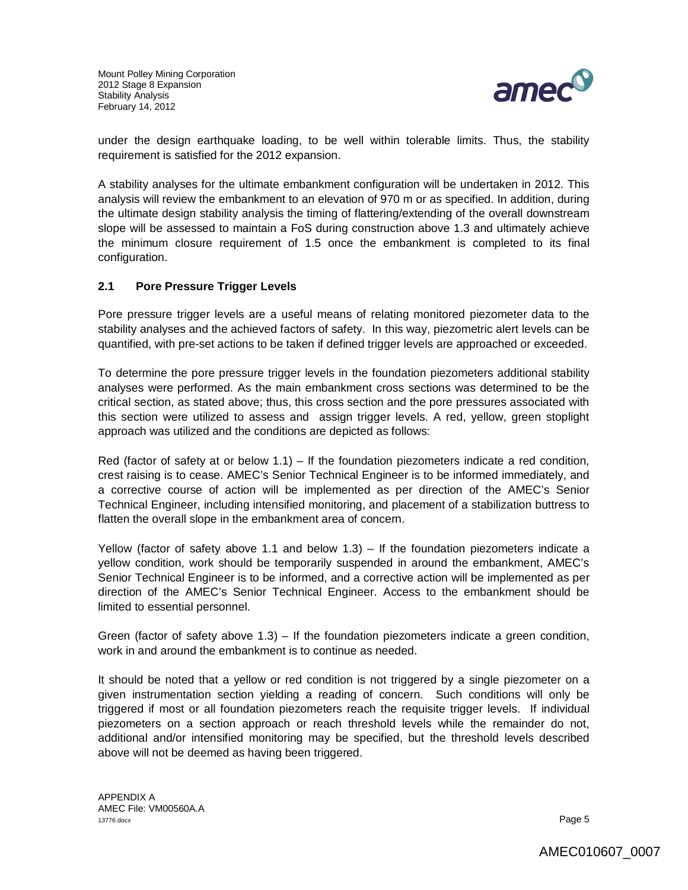

under the design earthquake loading, to be well within tolerable limits. Thus, the stability requirement is satisfied for the 2012 expansion.

A stability analyses for the ultimate embankment configuration will be undertaken in 2012. This analysis will review the embankment to an elevation of 970 m or as specified. In addition, during the ultimate design stability analysis the timing of flattering/extending of the overall downstream slope will be assessed to maintain a FoS during construction above 1.3 and ultimately achieve the minimum closure requirement of 1.5 once the embankment is completed to its final configuration.

## **2.1 Pore Pressure Trigger Levels**

Pore pressure trigger levels are a useful means of relating monitored piezometer data to the stability analyses and the achieved factors of safety. In this way, piezometric alert levels can be quantified, with pre-set actions to be taken if defined trigger levels are approached or exceeded.

To determine the pore pressure trigger levels in the foundation piezometers additional stability analyses were performed. As the main embankment cross sections was determined to be the critical section, as stated above; thus, this cross section and the pore pressures associated with this section were utilized to assess and assign trigger levels. A red, yellow, green stoplight approach was utilized and the conditions are depicted as follows:

Red (factor of safety at or below  $1.1$ ) – If the foundation piezometers indicate a red condition, crest raising is to cease. AMEC's Senior Technical Engineer is to be informed immediately, and a corrective course of action will be implemented as per direction of the AMEC's Senior Technical Engineer, including intensified monitoring, and placement of a stabilization buttress to flatten the overall slope in the embankment area of concern.

Yellow (factor of safety above 1.1 and below 1.3) – If the foundation piezometers indicate a yellow condition, work should be temporarily suspended in around the embankment, AMEC's Senior Technical Engineer is to be informed, and a corrective action will be implemented as per direction of the AMEC's Senior Technical Engineer. Access to the embankment should be limited to essential personnel.

Green (factor of safety above 1.3) – If the foundation piezometers indicate a green condition, work in and around the embankment is to continue as needed.

It should be noted that a yellow or red condition is not triggered by a single piezometer on a given instrumentation section yielding a reading of concern. Such conditions will only be triggered if most or all foundation piezometers reach the requisite trigger levels. If individual piezometers on a section approach or reach threshold levels while the remainder do not, additional and/or intensified monitoring may be specified, but the threshold levels described above will not be deemed as having been triggered.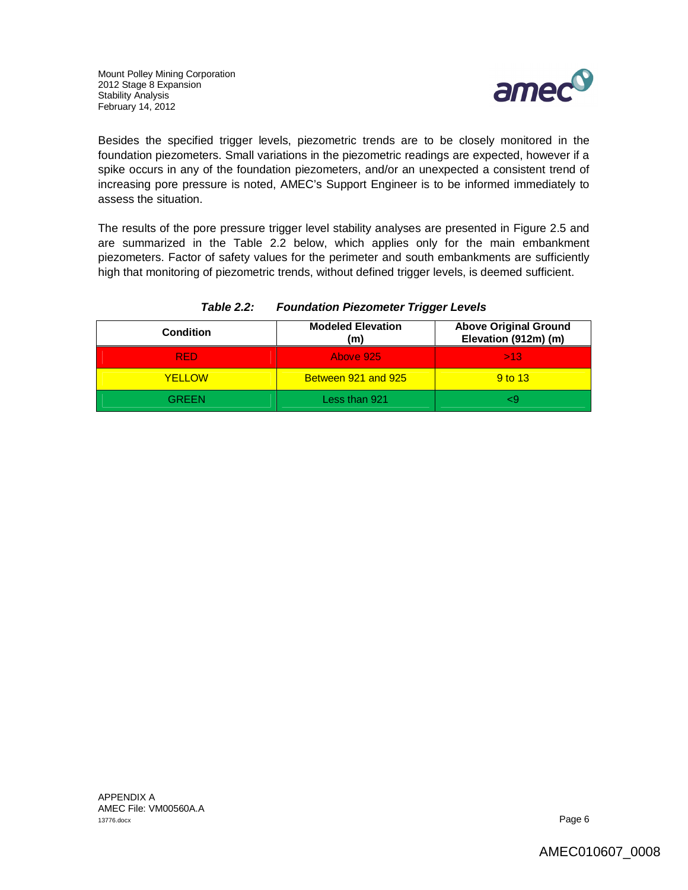

Besides the specified trigger levels, piezometric trends are to be closely monitored in the foundation piezometers. Small variations in the piezometric readings are expected, however if a spike occurs in any of the foundation piezometers, and/or an unexpected a consistent trend of increasing pore pressure is noted, AMEC's Support Engineer is to be informed immediately to assess the situation.

The results of the pore pressure trigger level stability analyses are presented in Figure 2.5 and are summarized in the Table 2.2 below, which applies only for the main embankment piezometers. Factor of safety values for the perimeter and south embankments are sufficiently high that monitoring of piezometric trends, without defined trigger levels, is deemed sufficient.

| <b>Condition</b> | <b>Modeled Elevation</b><br>(m) | <b>Above Original Ground</b><br>Elevation (912m) (m) |
|------------------|---------------------------------|------------------------------------------------------|
| RFD.             | Above 925                       | >13                                                  |
| <b>YELLOW</b>    | Between 921 and 925             | 9 to 13                                              |
| GREEN            | Less than 921                   |                                                      |

### *Table 2.2: Foundation Piezometer Trigger Levels*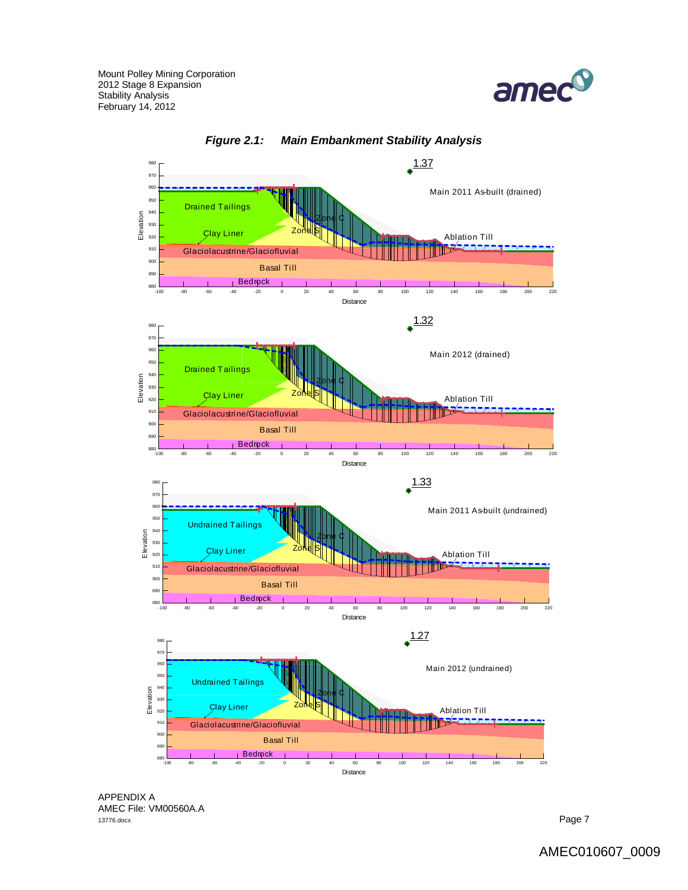



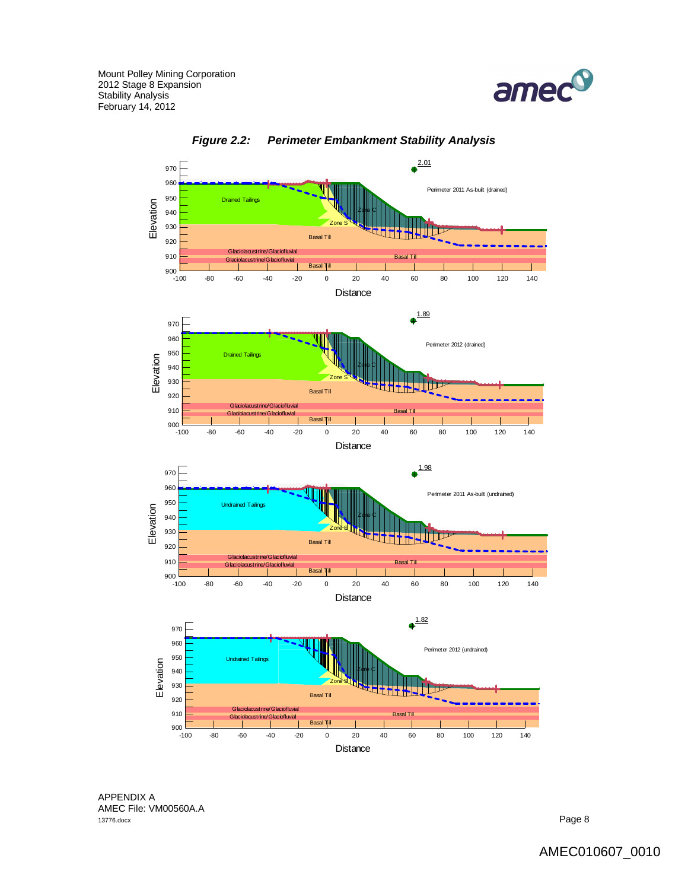



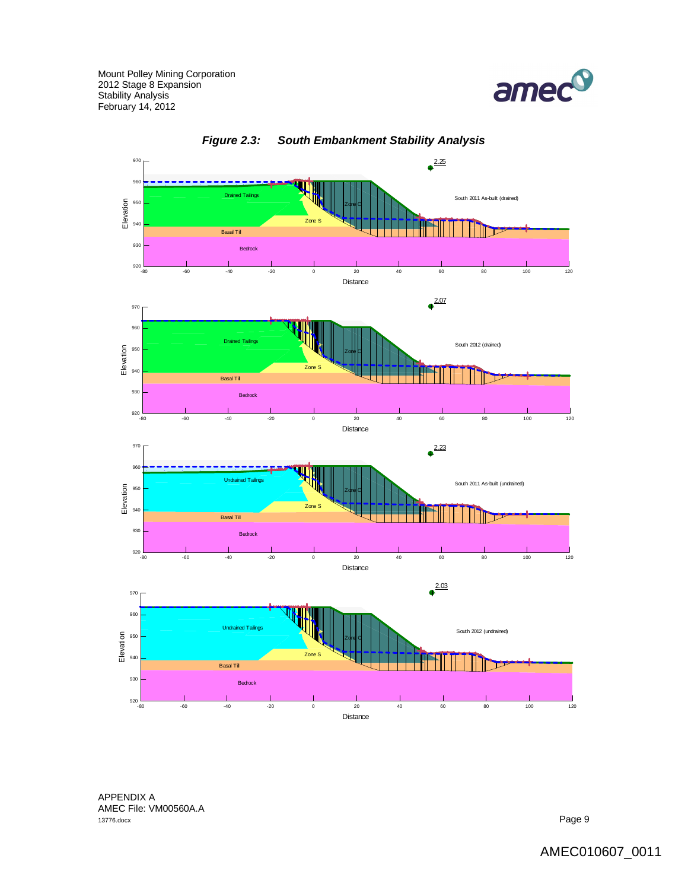



*Figure 2.3: South Embankment Stability Analysis*

APPENDIX A AMEC File: VM00560A.A<br>13776.docx 13776.docx Page 9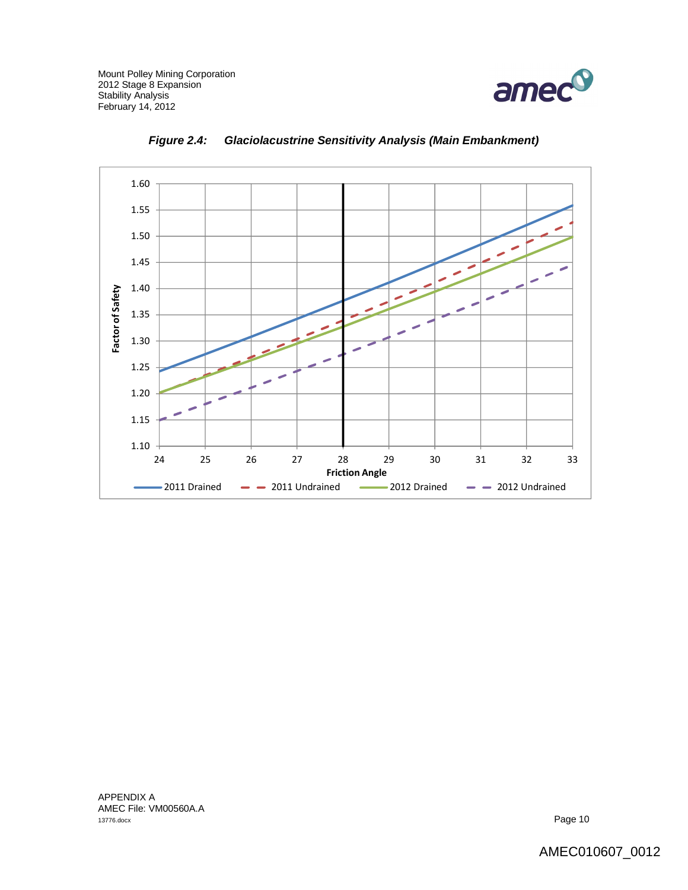



*Figure 2.4: Glaciolacustrine Sensitivity Analysis (Main Embankment)*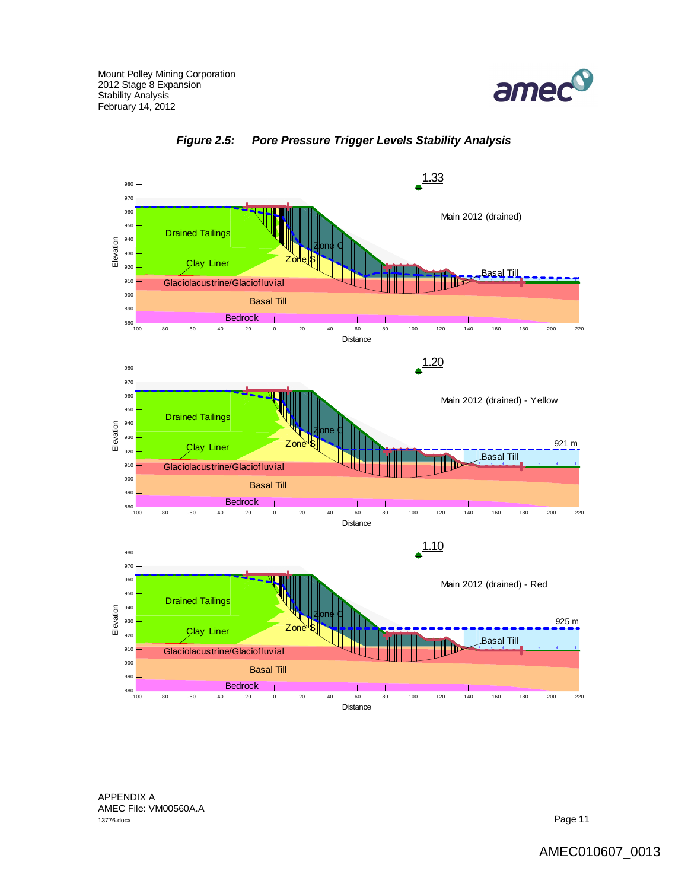